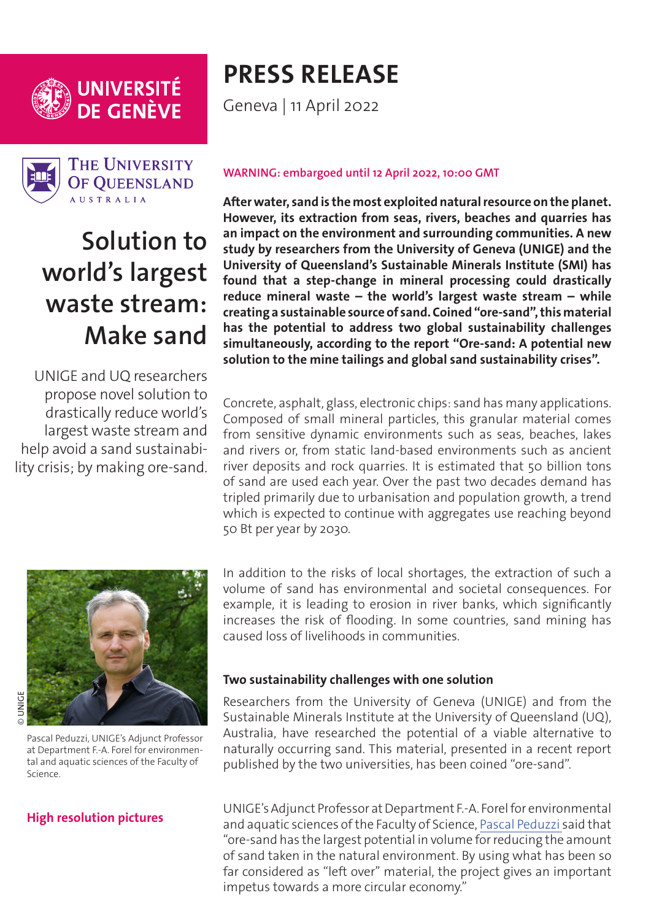

UNIVERSITÉ<br>DE GENÈVE



**THE UNIVERSITY** OF OUEENSLAND **AUSTRALIA** 

# **Solution to world's largest waste stream: Make sand**

UNIGE and UQ researchers propose novel solution to drastically reduce world's largest waste stream and help avoid a sand sustainability crisis; by making ore-sand.

# **PRESS RELEASE**

Geneva | 11 April 2022

### **WARNING: embargoed until 12 April 2022, 10:00 GMT**

**After water, sand is the most exploited natural resource on the planet. However, its extraction from seas, rivers, beaches and quarries has an impact on the environment and surrounding communities. A new study by researchers from the University of Geneva (UNIGE) and the University of Queensland's Sustainable Minerals Institute (SMI) has found that a step-change in mineral processing could drastically reduce mineral waste – the world's largest waste stream – while creating a sustainable source of sand. Coined "ore-sand", this material has the potential to address two global sustainability challenges simultaneously, according to the report ''Ore-sand: A potential new solution to the mine tailings and global sand sustainability crises''.** 

Concrete, asphalt, glass, electronic chips: sand has many applications. Composed of small mineral particles, this granular material comes from sensitive dynamic environments such as seas, beaches, lakes and rivers or, from static land-based environments such as ancient river deposits and rock quarries. It is estimated that 50 billion tons of sand are used each year. Over the past two decades demand has tripled primarily due to urbanisation and population growth, a trend which is expected to continue with aggregates use reaching beyond 50 Bt per year by 2030.



**DUNICE** © UNIGE

Pascal Peduzzi, UNIGE's Adjunct Professor at Department F.-A. Forel for environmental and aquatic sciences of the Faculty of Science.

# **[High resolution pictures](https://phototheque.unige.ch/documents/facets?newFacet=mot.cle.marc%3DCdP_220412_Peduzzi&clearFacets=1)**

In addition to the risks of local shortages, the extraction of such a volume of sand has environmental and societal consequences. For example, it is leading to erosion in river banks, which significantly increases the risk of flooding. In some countries, sand mining has caused loss of livelihoods in communities.

### **Two sustainability challenges with one solution**

Researchers from the University of Geneva (UNIGE) and from the Sustainable Minerals Institute at the University of Queensland (UQ), Australia, have researched the potential of a viable alternative to naturally occurring sand. This material, presented in a recent report published by the two universities, has been coined "ore-sand".

UNIGE's Adjunct Professor at Department F.-A. Forel for environmental and aquatic sciences of the Faculty of Science, [Pascal Peduzzi](https://www.researchgate.net/profile/Pascal-Peduzzi-2) said that "ore-sand has the largest potential in volume for reducing the amount of sand taken in the natural environment. By using what has been so far considered as ''left over'' material, the project gives an important impetus towards a more circular economy."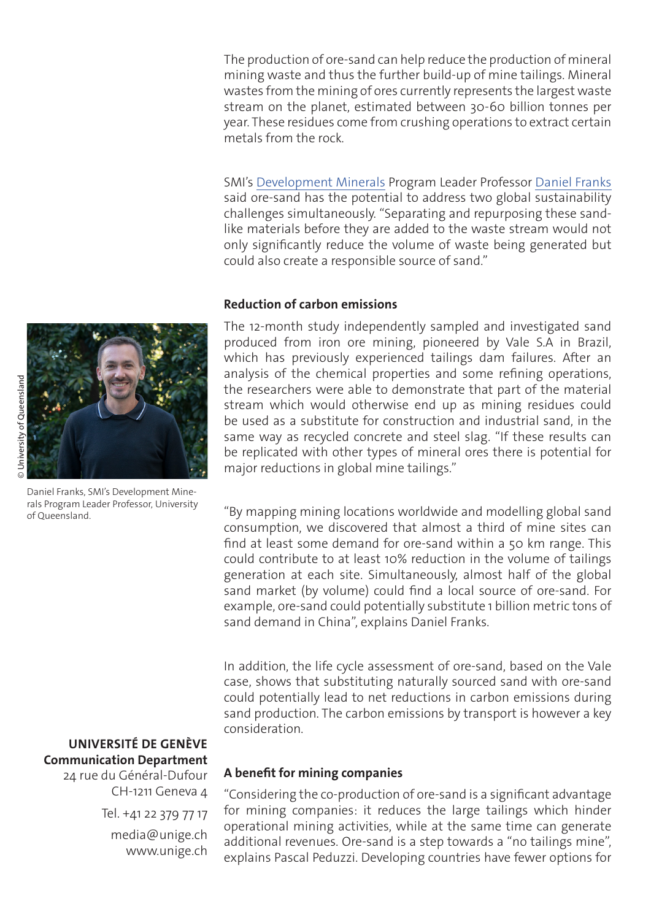The production of ore-sand can help reduce the production of mineral mining waste and thus the further build-up of mine tailings. Mineral wastes from the mining of ores currently represents the largest waste stream on the planet, estimated between 30-60 billion tonnes per year. These residues come from crushing operations to extract certain metals from the rock.

SMI's [Development Minerals](https://smi.uq.edu.au/development-minerals) Program Leader Professor [Daniel Franks](https://smi.uq.edu.au/profile/7925/daniel-franks) said ore-sand has the potential to address two global sustainability challenges simultaneously. "Separating and repurposing these sandlike materials before they are added to the waste stream would not only significantly reduce the volume of waste being generated but could also create a responsible source of sand."

#### **Reduction of carbon emissions**

The 12-month study independently sampled and investigated sand produced from iron ore mining, pioneered by Vale S.A in Brazil, which has previously experienced tailings dam failures. After an analysis of the chemical properties and some refining operations, the researchers were able to demonstrate that part of the material stream which would otherwise end up as mining residues could be used as a substitute for construction and industrial sand, in the same way as recycled concrete and steel slag. "If these results can be replicated with other types of mineral ores there is potential for major reductions in global mine tailings."

"By mapping mining locations worldwide and modelling global sand consumption, we discovered that almost a third of mine sites can find at least some demand for ore-sand within a 50 km range. This could contribute to at least 10% reduction in the volume of tailings generation at each site. Simultaneously, almost half of the global sand market (by volume) could find a local source of ore-sand. For example, ore-sand could potentially substitute 1 billion metric tons of sand demand in China", explains Daniel Franks.

In addition, the life cycle assessment of ore-sand, based on the Vale case, shows that substituting naturally sourced sand with ore-sand could potentially lead to net reductions in carbon emissions during sand production. The carbon emissions by transport is however a key consideration.

#### **A benefit for mining companies**

"Considering the co-production of ore-sand is a significant advantage for mining companies: it reduces the large tailings which hinder operational mining activities, while at the same time can generate additional revenues. Ore-sand is a step towards a "no tailings mine'', explains Pascal Peduzzi. Developing countries have fewer options for

Daniel Franks, SMI's Development Minerals Program Leader Professor, University of Queensland.

# **UNIVERSITÉ DE GENÈVE Communication Department**

24 rue du Général-Dufour CH-1211 Geneva 4 Tel. +41 22 379 77 17 media@unige.ch www.unige.ch